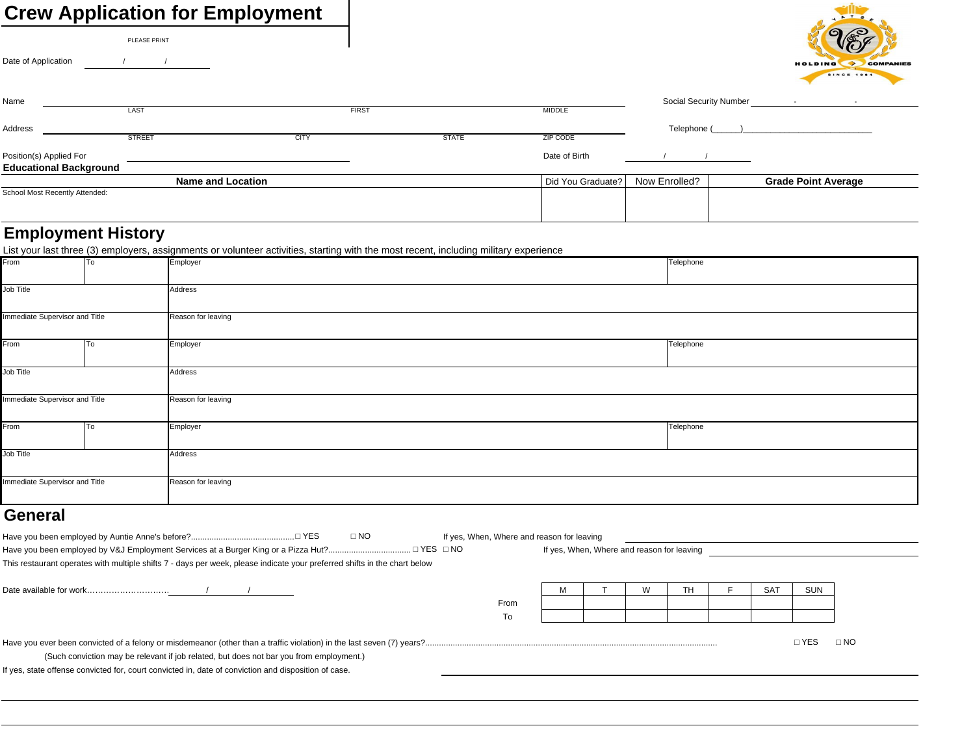## **Crew Application for Employment**

| <b>Crew Application for Employment</b> |                          |             |              |              |                   |                        |                                                         |
|----------------------------------------|--------------------------|-------------|--------------|--------------|-------------------|------------------------|---------------------------------------------------------|
|                                        | PLEASE PRINT             |             |              |              |                   |                        | O<br>$\epsilon$                                         |
| Date of Application                    |                          |             |              |              |                   |                        | <b>HOLDING</b><br><b>COMPANIES</b><br><b>SINCE 1984</b> |
| Name                                   |                          |             |              |              |                   | Social Security Number | $\sim$<br>$\overline{\phantom{a}}$                      |
|                                        | LAST                     |             | <b>FIRST</b> |              | <b>MIDDLE</b>     |                        |                                                         |
| Address                                |                          |             |              |              |                   | Telephone (            |                                                         |
|                                        | <b>STREET</b>            | <b>CITY</b> |              | <b>STATE</b> | <b>ZIP CODE</b>   |                        |                                                         |
| Position(s) Applied For                |                          |             |              |              | Date of Birth     |                        |                                                         |
| <b>Educational Background</b>          |                          |             |              |              |                   |                        |                                                         |
|                                        | <b>Name and Location</b> |             |              |              | Did You Graduate? | Now Enrolled?          | <b>Grade Point Average</b>                              |
| School Most Recently Attended:         |                          |             |              |              |                   |                        |                                                         |
|                                        |                          |             |              |              |                   |                        |                                                         |

## **Employment History**

| Telephone<br>From<br>Employer<br>To<br>Job Title<br>Address<br>Immediate Supervisor and Title<br>Reason for leaving<br>From<br>Telephone<br>Employer<br>To<br>Job Title<br>Address<br>Immediate Supervisor and Title<br>Reason for leaving<br>Telephone<br>From<br>Employer<br>To<br>Job Title<br>Address<br>Immediate Supervisor and Title<br>Reason for leaving |  |  | List your last three (3) employers, assignments or volunteer activities, starting with the most recent, including military experience |  |  |  |  |  |
|-------------------------------------------------------------------------------------------------------------------------------------------------------------------------------------------------------------------------------------------------------------------------------------------------------------------------------------------------------------------|--|--|---------------------------------------------------------------------------------------------------------------------------------------|--|--|--|--|--|
|                                                                                                                                                                                                                                                                                                                                                                   |  |  |                                                                                                                                       |  |  |  |  |  |
|                                                                                                                                                                                                                                                                                                                                                                   |  |  |                                                                                                                                       |  |  |  |  |  |
|                                                                                                                                                                                                                                                                                                                                                                   |  |  |                                                                                                                                       |  |  |  |  |  |
|                                                                                                                                                                                                                                                                                                                                                                   |  |  |                                                                                                                                       |  |  |  |  |  |
|                                                                                                                                                                                                                                                                                                                                                                   |  |  |                                                                                                                                       |  |  |  |  |  |
|                                                                                                                                                                                                                                                                                                                                                                   |  |  |                                                                                                                                       |  |  |  |  |  |
|                                                                                                                                                                                                                                                                                                                                                                   |  |  |                                                                                                                                       |  |  |  |  |  |
|                                                                                                                                                                                                                                                                                                                                                                   |  |  |                                                                                                                                       |  |  |  |  |  |
|                                                                                                                                                                                                                                                                                                                                                                   |  |  |                                                                                                                                       |  |  |  |  |  |
|                                                                                                                                                                                                                                                                                                                                                                   |  |  |                                                                                                                                       |  |  |  |  |  |
|                                                                                                                                                                                                                                                                                                                                                                   |  |  |                                                                                                                                       |  |  |  |  |  |
|                                                                                                                                                                                                                                                                                                                                                                   |  |  |                                                                                                                                       |  |  |  |  |  |
|                                                                                                                                                                                                                                                                                                                                                                   |  |  |                                                                                                                                       |  |  |  |  |  |
|                                                                                                                                                                                                                                                                                                                                                                   |  |  |                                                                                                                                       |  |  |  |  |  |
|                                                                                                                                                                                                                                                                                                                                                                   |  |  |                                                                                                                                       |  |  |  |  |  |
|                                                                                                                                                                                                                                                                                                                                                                   |  |  |                                                                                                                                       |  |  |  |  |  |
|                                                                                                                                                                                                                                                                                                                                                                   |  |  |                                                                                                                                       |  |  |  |  |  |
|                                                                                                                                                                                                                                                                                                                                                                   |  |  |                                                                                                                                       |  |  |  |  |  |

## **General**

|  | IYES | . NC | If yes, When, Where and reason for leaving |
|--|------|------|--------------------------------------------|
|--|------|------|--------------------------------------------|

To

| ⊡YES ⊡NO<br>Have you been employed by V&J Employment Services at a Burger King or a Pizza Hut?                            |      | If yes, When, Where and reason for leaving |  |                 |            |  |
|---------------------------------------------------------------------------------------------------------------------------|------|--------------------------------------------|--|-----------------|------------|--|
| This restaurant operates with multiple shifts 7 - days per week, please indicate your preferred shifts in the chart below |      |                                            |  |                 |            |  |
|                                                                                                                           |      |                                            |  | SA <sup>-</sup> | <b>SUN</b> |  |
|                                                                                                                           | From |                                            |  |                 |            |  |

|                                                                                         | VEC | $\overline{N}$<br>IVC. |
|-----------------------------------------------------------------------------------------|-----|------------------------|
| (Such conviction may be relevant if job related, but does not bar you from employment.) |     |                        |

If yes, state offense convicted for, court convicted in, date of conviction and disposition of case.